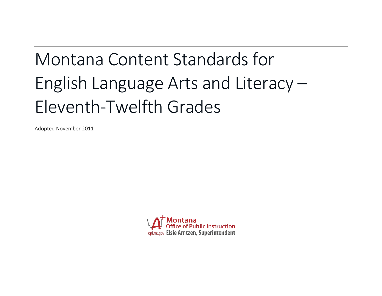# Montana Content Standards for English Language Arts and Literacy – Eleventh-Twelfth Grades

Adopted November 2011

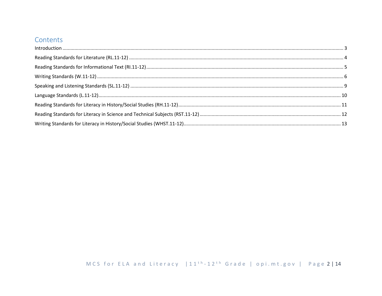## Contents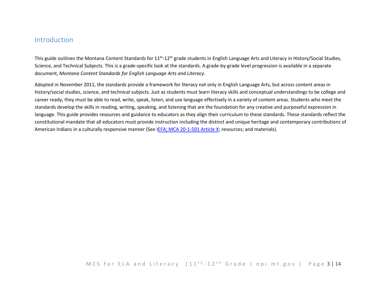### <span id="page-2-0"></span>Introduction

This guide outlines the Montana Content Standards for 11<sup>th</sup>-12<sup>th</sup> grade students in English Language Arts and Literacy in History/Social Studies, Science, and Technical Subjects. This is a grade-specific look at the standards. A grade-by-grade level progression is available in a separate document, *Montana Content Standards for English Language Arts and Literacy*.

Adopted in November 2011, the standards provide a framework for literacy not only in English Language Arts, but across content areas in history/social studies, science, and technical subjects. Just as students must learn literacy skills and conceptual understandings to be college and career ready, they must be able to read, write, speak, listen, and use language effectively in a variety of content areas. Students who meet the standards develop the skills in reading, writing, speaking, and listening that are the foundation for any creative and purposeful expression in language. This guide provides resources and guidance to educators as they align their curriculum to these standards. These standards reflect the constitutional mandate that all educators must provide instruction including the distinct and unique heritage and contemporary contributions of American Indians in a culturally responsive manner (See [IEFA; MCA 20-1-501 Article X;](http://www.opi.mt.gov/PDF/IndianEd/Resources/ArticleX_IEFA.pdf) resources; and materials).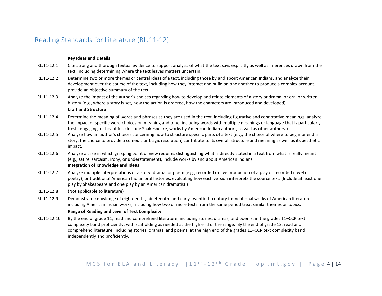## <span id="page-3-0"></span>Reading Standards for Literature (RL.11-12)

#### **Key Ideas and Details**

- RL.11-12.1 Cite strong and thorough textual evidence to support analysis of what the text says explicitly as well as inferences drawn from the text, including determining where the text leaves matters uncertain.
- RL.11-12.2 Determine two or more themes or central ideas of a text, including those by and about American Indians, and analyze their development over the course of the text, including how they interact and build on one another to produce a complex account; provide an objective summary of the text.
- RL.11-12.3 Analyze the impact of the author's choices regarding how to develop and relate elements of a story or drama, or oral or written history (e.g., where a story is set, how the action is ordered, how the characters are introduced and developed).

#### **Craft and Structure**

- RL.11-12.4 Determine the meaning of words and phrases as they are used in the text, including figurative and connotative meanings; analyze the impact of specific word choices on meaning and tone, including words with multiple meanings or language that is particularly fresh, engaging, or beautiful. (Include Shakespeare, works by American Indian authors, as well as other authors.)
- RL.11-12.5 Analyze how an author's choices concerning how to structure specific parts of a text (e.g., the choice of where to begin or end a story, the choice to provide a comedic or tragic resolution) contribute to its overall structure and meaning as well as its aesthetic impact.
- RL.11-12.6 Analyze a case in which grasping point of view requires distinguishing what is directly stated in a text from what is really meant (e.g., satire, sarcasm, irony, or understatement), include works by and about American Indians. **Integration of Knowledge and Ideas**
- RL.11-12.7 Analyze multiple interpretations of a story, drama, or poem (e.g., recorded or live production of a play or recorded novel or poetry), or traditional American Indian oral histories, evaluating how each version interprets the source text. (Include at least one play by Shakespeare and one play by an American dramatist.)
- RL.11-12.8 (Not applicable to literature)
- RL.11-12.9 Demonstrate knowledge of eighteenth-, nineteenth- and early-twentieth-century foundational works of American literature, including American Indian works, including how two or more texts from the same period treat similar themes or topics.

#### **Range of Reading and Level of Text Complexity**

RL.11-12.10 By the end of grade 11, read and comprehend literature, including stories, dramas, and poems, in the grades 11–CCR text complexity band proficiently, with scaffolding as needed at the high end of the range. By the end of grade 12, read and comprehend literature, including stories, dramas, and poems, at the high end of the grades 11–CCR text complexity band independently and proficiently.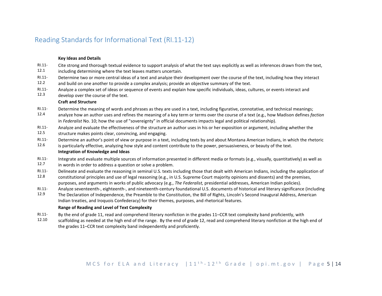## <span id="page-4-0"></span>Reading Standards for Informational Text (RI.11-12)

#### **Key Ideas and Details**

- RI.11- Cite strong and thorough textual evidence to support analysis of what the text says explicitly as well as inferences drawn from the text,
- 12.1 including determining where the text leaves matters uncertain.
- RI.11- Determine two or more central ideas of a text and analyze their development over the course of the text, including how they interact
- 12.2 and build on one another to provide a complex analysis; provide an objective summary of the text.
- RI.11- Analyze a complex set of ideas or sequence of events and explain how specific individuals, ideas, cultures, or events interact and
- 12.3 develop over the course of the text.

#### **Craft and Structure**

- RI.11- Determine the meaning of words and phrases as they are used in a text, including figurative, connotative, and technical meanings;
- 12.4 analyze how an author uses and refines the meaning of a key term or terms over the course of a text (e.g., how Madison defines *faction*  in *Federalist* No. 10; how the use of "sovereignty" in official documents impacts legal and political relationship).
- RI.11- Analyze and evaluate the effectiveness of the structure an author uses in his or her exposition or argument, including whether the
- 12.5 structure makes points clear, convincing, and engaging.
- RI.11- Determine an author's point of view or purpose in a text, including texts by and about Montana American Indians, in which the rhetoric
- 12.6 is particularly effective, analyzing how style and content contribute to the power, persuasiveness, or beauty of the text. **Integration of Knowledge and Ideas**
- RI.11- Integrate and evaluate multiple sources of information presented in different media or formats (e.g., visually, quantitatively) as well as
- 12.7 in words in order to address a question or solve a problem.
- RI.11- Delineate and evaluate the reasoning in seminal U.S. texts including those that dealt with American Indians, including the application of
- 12.8 constitutional principles and use of legal reasoning (e.g., in U.S. Supreme Court majority opinions and dissents) and the premises, purposes, and arguments in works of public advocacy (e.g., *The Federalist,* presidential addresses, American Indian policies).
- RI.11- Analyze seventeenth-, eighteenth-, and nineteenth-century foundational U.S. documents of historical and literary significance (including
- 12.9 The Declaration of Independence, the Preamble to the Constitution, the Bill of Rights, Lincoln's Second Inaugural Address, American Indian treaties, and Iroquois Confederacy) for their themes, purposes, and rhetorical features.

#### **Range of Reading and Level of Text Complexity**

- RI.11- By the end of grade 11, read and comprehend literary nonfiction in the grades 11–CCR text complexity band proficiently, with
- 12.10 scaffolding as needed at the high end of the range. By the end of grade 12, read and comprehend literary nonfiction at the high end of the grades 11–CCR text complexity band independently and proficiently.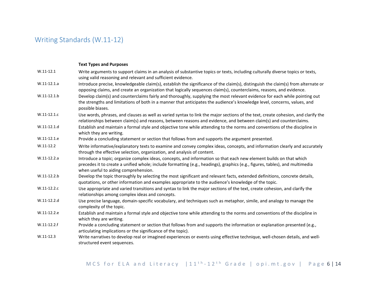# <span id="page-5-0"></span>Writing Standards (W.11-12)

|               | <b>Text Types and Purposes</b>                                                                                                                                                                                                                                                             |
|---------------|--------------------------------------------------------------------------------------------------------------------------------------------------------------------------------------------------------------------------------------------------------------------------------------------|
| $W.11-12.1$   | Write arguments to support claims in an analysis of substantive topics or texts, including culturally diverse topics or texts,<br>using valid reasoning and relevant and sufficient evidence.                                                                                              |
| $W.11-12.1.a$ | Introduce precise, knowledgeable claim(s), establish the significance of the claim(s), distinguish the claim(s) from alternate or<br>opposing claims, and create an organization that logically sequences claim(s), counterclaims, reasons, and evidence.                                  |
| $W.11-12.1.b$ | Develop claim(s) and counterclaims fairly and thoroughly, supplying the most relevant evidence for each while pointing out<br>the strengths and limitations of both in a manner that anticipates the audience's knowledge level, concerns, values, and<br>possible biases.                 |
| $W.11-12.1.c$ | Use words, phrases, and clauses as well as varied syntax to link the major sections of the text, create cohesion, and clarify the<br>relationships between claim(s) and reasons, between reasons and evidence, and between claim(s) and counterclaims.                                     |
| $W.11-12.1.d$ | Establish and maintain a formal style and objective tone while attending to the norms and conventions of the discipline in<br>which they are writing.                                                                                                                                      |
| W.11-12.1.e   | Provide a concluding statement or section that follows from and supports the argument presented.                                                                                                                                                                                           |
| $W.11-12.2$   | Write informative/explanatory texts to examine and convey complex ideas, concepts, and information clearly and accurately<br>through the effective selection, organization, and analysis of content.                                                                                       |
| $W.11-12.2.a$ | Introduce a topic; organize complex ideas, concepts, and information so that each new element builds on that which<br>precedes it to create a unified whole; include formatting (e.g., headings), graphics (e.g., figures, tables), and multimedia<br>when useful to aiding comprehension. |
| $W.11-12.2.b$ | Develop the topic thoroughly by selecting the most significant and relevant facts, extended definitions, concrete details,<br>quotations, or other information and examples appropriate to the audience's knowledge of the topic.                                                          |
| $W.11-12.2.c$ | Use appropriate and varied transitions and syntax to link the major sections of the text, create cohesion, and clarify the<br>relationships among complex ideas and concepts.                                                                                                              |
| W.11-12.2.d   | Use precise language, domain-specific vocabulary, and techniques such as metaphor, simile, and analogy to manage the<br>complexity of the topic.                                                                                                                                           |
| W.11-12.2.e   | Establish and maintain a formal style and objective tone while attending to the norms and conventions of the discipline in<br>which they are writing.                                                                                                                                      |
| $W.11-12.2.f$ | Provide a concluding statement or section that follows from and supports the information or explanation presented (e.g.,<br>articulating implications or the significance of the topic).                                                                                                   |
| $W.11-12.3$   | Write narratives to develop real or imagined experiences or events using effective technique, well-chosen details, and well-<br>structured event sequences.                                                                                                                                |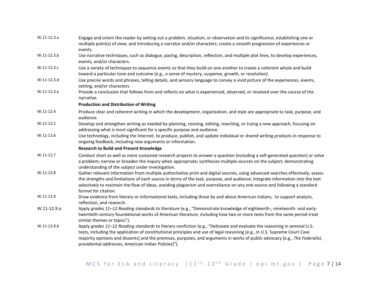| $W.11-12.3.a$ | Engage and orient the reader by setting out a problem, situation, or observation and its significance, establishing one or<br>multiple point(s) of view, and introducing a narrator and/or characters; create a smooth progression of experiences or<br>events.                                                                                                                                                                                |
|---------------|------------------------------------------------------------------------------------------------------------------------------------------------------------------------------------------------------------------------------------------------------------------------------------------------------------------------------------------------------------------------------------------------------------------------------------------------|
| W.11-12.3.b   | Use narrative techniques, such as dialogue, pacing, description, reflection, and multiple plot lines, to develop experiences,<br>events, and/or characters.                                                                                                                                                                                                                                                                                    |
| W.11-12.3.c   | Use a variety of techniques to sequence events so that they build on one another to create a coherent whole and build<br>toward a particular tone and outcome (e.g., a sense of mystery, suspense, growth, or resolution).                                                                                                                                                                                                                     |
| W.11-12.3.d   | Use precise words and phrases, telling details, and sensory language to convey a vivid picture of the experiences, events,<br>setting, and/or characters.                                                                                                                                                                                                                                                                                      |
| W.11-12.3.e   | Provide a conclusion that follows from and reflects on what is experienced, observed, or resolved over the course of the<br>narrative.                                                                                                                                                                                                                                                                                                         |
|               | <b>Production and Distribution of Writing</b>                                                                                                                                                                                                                                                                                                                                                                                                  |
| $W.11-12.4$   | Produce clear and coherent writing in which the development, organization, and style are appropriate to task, purpose, and<br>audience.                                                                                                                                                                                                                                                                                                        |
| $W.11-12.5$   | Develop and strengthen writing as needed by planning, revising, editing, rewriting, or trying a new approach, focusing on<br>addressing what is most significant for a specific purpose and audience.                                                                                                                                                                                                                                          |
| $W.11-12.6$   | Use technology, including the Internet, to produce, publish, and update individual or shared writing products in response to<br>ongoing feedback, including new arguments or information.                                                                                                                                                                                                                                                      |
|               | <b>Research to Build and Present Knowledge</b>                                                                                                                                                                                                                                                                                                                                                                                                 |
| $W.11-12.7$   | Conduct short as well as more sustained research projects to answer a question (including a self-generated question) or solve<br>a problem; narrow or broaden the inquiry when appropriate; synthesize multiple sources on the subject, demonstrating<br>understanding of the subject under investigation.                                                                                                                                     |
| $W.11-12.8$   | Gather relevant information from multiple authoritative print and digital sources, using advanced searches effectively; assess<br>the strengths and limitations of each source in terms of the task, purpose, and audience; integrate information into the text<br>selectively to maintain the flow of ideas, avoiding plagiarism and overreliance on any one source and following a standard<br>format for citation.                          |
| $W.11-12.9$   | Draw evidence from literary or informational texts, including those by and about American Indians, to support analysis,<br>reflection, and research.                                                                                                                                                                                                                                                                                           |
| W.11-12.9.a   | Apply grades 11-12 Reading standards to literature (e.g., "Demonstrate knowledge of eighteenth-, nineteenth- and early-<br>twentieth-century foundational works of American literature, including how two or more texts from the same period treat<br>similar themes or topics").                                                                                                                                                              |
| W.11-12.9.b   | Apply grades 11-12 Reading standards to literary nonfiction (e.g., "Delineate and evaluate the reasoning in seminal U.S.<br>texts, including the application of constitutional principles and use of legal reasoning [e.g., in U.S. Supreme Court Case<br>majority opinions and dissents] and the premises, purposes, and arguments in works of public advocacy [e.g., The Federalist,<br>presidential addresses, American Indian Policies]"). |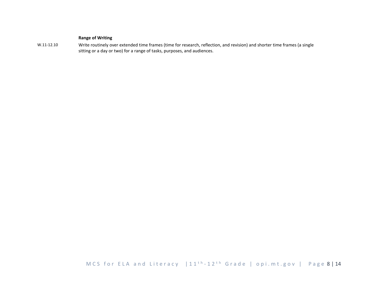#### **Range of Writing**

W.11-12.10 Write routinely over extended time frames (time for research, reflection, and revision) and shorter time frames (a single sitting or a day or two) for a range of tasks, purposes, and audiences.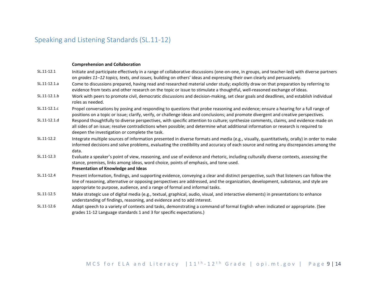# <span id="page-8-0"></span>Speaking and Listening Standards (SL.11-12)

#### **Comprehension and Collaboration**

| SL.11-12.1   | Initiate and participate effectively in a range of collaborative discussions (one-on-one, in groups, and teacher-led) with diverse partners<br>on grades 11-12 topics, texts, and issues, building on others' ideas and expressing their own clearly and persuasively.                                                                                      |
|--------------|-------------------------------------------------------------------------------------------------------------------------------------------------------------------------------------------------------------------------------------------------------------------------------------------------------------------------------------------------------------|
| SL.11-12.1.a | Come to discussions prepared, having read and researched material under study; explicitly draw on that preparation by referring to<br>evidence from texts and other research on the topic or issue to stimulate a thoughtful, well-reasoned exchange of ideas.                                                                                              |
| SL.11-12.1.b | Work with peers to promote civil, democratic discussions and decision-making, set clear goals and deadlines, and establish individual<br>roles as needed.                                                                                                                                                                                                   |
| SL.11-12.1.c | Propel conversations by posing and responding to questions that probe reasoning and evidence; ensure a hearing for a full range of<br>positions on a topic or issue; clarify, verify, or challenge ideas and conclusions; and promote divergent and creative perspectives.                                                                                  |
| SL.11-12.1.d | Respond thoughtfully to diverse perspectives, with specific attention to culture; synthesize comments, claims, and evidence made on<br>all sides of an issue; resolve contradictions when possible; and determine what additional information or research is required to<br>deepen the investigation or complete the task.                                  |
| SL.11-12.2   | Integrate multiple sources of information presented in diverse formats and media (e.g., visually, quantitatively, orally) in order to make<br>informed decisions and solve problems, evaluating the credibility and accuracy of each source and noting any discrepancies among the<br>data.                                                                 |
| SL.11-12.3   | Evaluate a speaker's point of view, reasoning, and use of evidence and rhetoric, including culturally diverse contexts, assessing the<br>stance, premises, links among ideas, word choice, points of emphasis, and tone used.<br>Presentation of Knowledge and Ideas                                                                                        |
| SL.11-12.4   | Present information, findings, and supporting evidence, conveying a clear and distinct perspective, such that listeners can follow the<br>line of reasoning, alternative or opposing perspectives are addressed, and the organization, development, substance, and style are<br>appropriate to purpose, audience, and a range of formal and informal tasks. |
| SL.11-12.5   | Make strategic use of digital media (e.g., textual, graphical, audio, visual, and interactive elements) in presentations to enhance<br>understanding of findings, reasoning, and evidence and to add interest.                                                                                                                                              |
| SL.11-12.6   | Adapt speech to a variety of contexts and tasks, demonstrating a command of formal English when indicated or appropriate. (See<br>grades 11-12 Language standards 1 and 3 for specific expectations.)                                                                                                                                                       |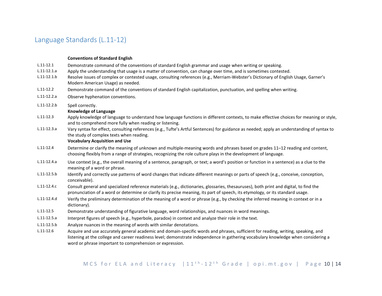## <span id="page-9-0"></span>Language Standards (L.11-12)

#### **Conventions of Standard English**

- L.11-12.1 Demonstrate command of the conventions of standard English grammar and usage when writing or speaking.
- L.11-12.1.a Apply the understanding that usage is a matter of convention, can change over time, and is sometimes contested.
- L.11-12.1.b Resolve issues of complex or contested usage, consulting references (e.g., Merriam-Webster's Dictionary of English Usage, Garner's Modern American Usage) as needed.
- L.11-12.2 Demonstrate command of the conventions of standard English capitalization, punctuation, and spelling when writing.
- L.11-12.2.a Observe hyphenation conventions.
- L.11-12.2.b Spell correctly.

#### **Knowledge of Language**

- L.11-12.3 Apply knowledge of language to understand how language functions in different contexts, to make effective choices for meaning or style, and to comprehend more fully when reading or listening.
- L.11-12.3.a Vary syntax for effect, consulting references (e.g., Tufte's Artful Sentences) for guidance as needed; apply an understanding of syntax to the study of complex texts when reading.

#### **Vocabulary Acquisition and Use**

- L.11-12.4 Determine or clarify the meaning of unknown and multiple-meaning words and phrases based on grades 11–12 reading and content, choosing flexibly from a range of strategies, recognizing the role culture plays in the development of language.
- L.11-12.4.a Use context (e.g., the overall meaning of a sentence, paragraph, or text; a word's position or function in a sentence) as a clue to the meaning of a word or phrase.
- L.11-12.5.b Identify and correctly use patterns of word changes that indicate different meanings or parts of speech (e.g., conceive, conception, conceivable).
- L.11-12.4.c Consult general and specialized reference materials (e.g., dictionaries, glossaries, thesauruses), both print and digital, to find the pronunciation of a word or determine or clarify its precise meaning, its part of speech, its etymology, or its standard usage.
- L.11-12.4.d Verify the preliminary determination of the meaning of a word or phrase (e.g., by checking the inferred meaning in context or in a dictionary).
- L.11-12.5 Demonstrate understanding of figurative language, word relationships, and nuances in word meanings.
- L.11-12.5.a Interpret figures of speech (e.g., hyperbole, paradox) in context and analyze their role in the text.
- L.11-12.5.b Analyze nuances in the meaning of words with similar denotations.
- L.11-12.6 Acquire and use accurately general academic and domain-specific words and phrases, sufficient for reading, writing, speaking, and listening at the college and career readiness level; demonstrate independence in gathering vocabulary knowledge when considering a word or phrase important to comprehension or expression.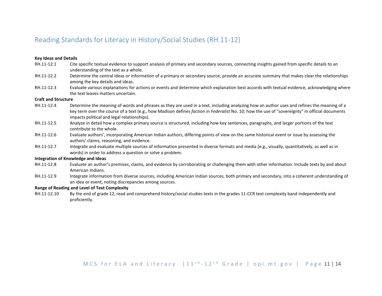## <span id="page-10-0"></span>Reading Standards for Literacy in History/Social Studies (RH.11-12)

#### **Key Ideas and Details**

- RH.11-12.1 Cite specific textual evidence to support analysis of primary and secondary sources, connecting insights gained from specific details to an understanding of the text as a whole.
- RH.11-12.2 Determine the central ideas or information of a primary or secondary source; provide an accurate summary that makes clear the relationships among the key details and ideas.
- RH.11-12.3 Evaluate various explanations for actions or events and determine which explanation best accords with textual evidence, acknowledging where the text leaves matters uncertain.

#### **Craft and Structure**

- RH.11-12.4 Determine the meaning of words and phrases as they are used in a text, including analyzing how an author uses and refines the meaning of a key term over the course of a text (e.g., how Madison defines *faction* in *Federalist* No. 10; how the use of "sovereignty" in official documents impacts political and legal relationships).
- RH.11-12.5 Analyze in detail how a complex primary source is structured, including how key sentences, paragraphs, and larger portions of the text contribute to the whole.
- RH.11-12.6 Evaluate authors', incorporating American Indian authors, differing points of view on the same historical event or issue by assessing the authors' claims, reasoning, and evidence.
- RH.11-12.7 Integrate and evaluate multiple sources of information presented in diverse formats and media (e.g., visually, quantitatively, as well as in words) in order to address a question or solve a problem.

#### **Integration of Knowledge and Ideas**

- RH.11-12.8 Evaluate an author's premises, claims, and evidence by corroborating or challenging them with other information. Include texts by and about American Indians.
- RH.11-12.9 Integrate information from diverse sources, including American Indian sources, both primary and secondary, into a coherent understanding of an idea or event, noting discrepancies among sources.

#### **Range of Reading and Level of Text Complexity**

RH.11-12.10 By the end of grade 12, read and comprehend history/social studies texts in the grades 11-CCR text complexity band independently and proficiently.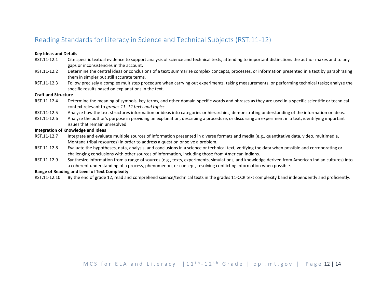## <span id="page-11-0"></span>Reading Standards for Literacy in Science and Technical Subjects (RST.11-12)

#### **Key Ideas and Details**

- RST.11-12.1 Cite specific textual evidence to support analysis of science and technical texts, attending to important distinctions the author makes and to any gaps or inconsistencies in the account.
- RST.11-12.2 Determine the central ideas or conclusions of a text; summarize complex concepts, processes, or information presented in a text by paraphrasing them in simpler but still accurate terms.
- RST.11-12.3 Follow precisely a complex multistep procedure when carrying out experiments, taking measurements, or performing technical tasks; analyze the specific results based on explanations in the text.

#### **Craft and Structure**

- RST.11-12.4 Determine the meaning of symbols, key terms, and other domain-specific words and phrases as they are used in a specific scientific or technical context relevant to *grades 11–12 texts and topics*.
- RST.11-12.5 Analyze how the text structures information or ideas into categories or hierarchies, demonstrating understanding of the information or ideas.
- RST.11-12.6 Analyze the author's purpose in providing an explanation, describing a procedure, or discussing an experiment in a text, identifying important issues that remain unresolved.

#### **Integration of Knowledge and Ideas**

- RST.11-12.7 Integrate and evaluate multiple sources of information presented in diverse formats and media (e.g., quantitative data, video, multimedia, Montana tribal resources) in order to address a question or solve a problem.
- RST.11-12.8 Evaluate the hypotheses, data, analysis, and conclusions in a science or technical text, verifying the data when possible and corroborating or challenging conclusions with other sources of information, including those from American Indians.
- RST.11-12.9 Synthesize information from a range of sources (e.g., texts, experiments, simulations, and knowledge derived from American Indian cultures) into a coherent understanding of a process, phenomenon, or concept, resolving conflicting information when possible.

#### **Range of Reading and Level of Text Complexity**

RST.11-12.10 By the end of grade 12, read and comprehend science/technical texts in the grades 11-CCR text complexity band independently and proficiently.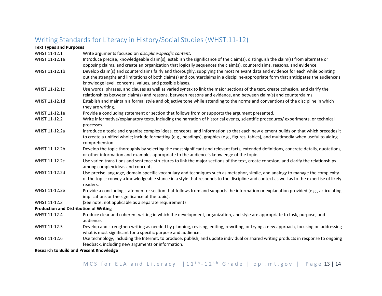# <span id="page-12-0"></span>Writing Standards for Literacy in History/Social Studies (WHST.11-12)

| <b>Text Types and Purposes</b>                |                                                                                                                                                                                                                                                                                                                                     |
|-----------------------------------------------|-------------------------------------------------------------------------------------------------------------------------------------------------------------------------------------------------------------------------------------------------------------------------------------------------------------------------------------|
| WHST.11-12.1                                  | Write arguments focused on discipline-specific content.                                                                                                                                                                                                                                                                             |
| WHST.11-12.1a                                 | Introduce precise, knowledgeable claim(s), establish the significance of the claim(s), distinguish the claim(s) from alternate or<br>opposing claims, and create an organization that logically sequences the claim(s), counterclaims, reasons, and evidence.                                                                       |
| WHST.11-12.1b                                 | Develop claim(s) and counterclaims fairly and thoroughly, supplying the most relevant data and evidence for each while pointing<br>out the strengths and limitations of both claim(s) and counterclaims in a discipline-appropriate form that anticipates the audience's<br>knowledge level, concerns, values, and possible biases. |
| WHST.11-12.1c                                 | Use words, phrases, and clauses as well as varied syntax to link the major sections of the text, create cohesion, and clarify the<br>relationships between claim(s) and reasons, between reasons and evidence, and between claim(s) and counterclaims.                                                                              |
| WHST.11-12.1d                                 | Establish and maintain a formal style and objective tone while attending to the norms and conventions of the discipline in which<br>they are writing.                                                                                                                                                                               |
| WHST.11-12.1e                                 | Provide a concluding statement or section that follows from or supports the argument presented.                                                                                                                                                                                                                                     |
| WHST.11-12.2                                  | Write informative/explanatory texts, including the narration of historical events, scientific procedures/experiments, or technical<br>processes.                                                                                                                                                                                    |
| WHST.11-12.2a                                 | Introduce a topic and organize complex ideas, concepts, and information so that each new element builds on that which precedes it<br>to create a unified whole; include formatting (e.g., headings), graphics (e.g., figures, tables), and multimedia when useful to aiding<br>comprehension.                                       |
| WHST.11-12.2b                                 | Develop the topic thoroughly by selecting the most significant and relevant facts, extended definitions, concrete details, quotations,<br>or other information and examples appropriate to the audience's knowledge of the topic.                                                                                                   |
| WHST.11-12.2c                                 | Use varied transitions and sentence structures to link the major sections of the text, create cohesion, and clarify the relationships<br>among complex ideas and concepts.                                                                                                                                                          |
| WHST.11-12.2d                                 | Use precise language, domain-specific vocabulary and techniques such as metaphor, simile, and analogy to manage the complexity<br>of the topic; convey a knowledgeable stance in a style that responds to the discipline and context as well as to the expertise of likely<br>readers.                                              |
| WHST.11-12.2e                                 | Provide a concluding statement or section that follows from and supports the information or explanation provided (e.g., articulating<br>implications or the significance of the topic).                                                                                                                                             |
| WHST.11-12.3                                  | (See note; not applicable as a separate requirement)                                                                                                                                                                                                                                                                                |
| <b>Production and Distribution of Writing</b> |                                                                                                                                                                                                                                                                                                                                     |
| WHST.11-12.4                                  | Produce clear and coherent writing in which the development, organization, and style are appropriate to task, purpose, and<br>audience.                                                                                                                                                                                             |
| WHST.11-12.5                                  | Develop and strengthen writing as needed by planning, revising, editing, rewriting, or trying a new approach, focusing on addressing<br>what is most significant for a specific purpose and audience.                                                                                                                               |
| WHST.11-12.6                                  | Use technology, including the Internet, to produce, publish, and update individual or shared writing products in response to ongoing<br>feedback, including new arguments or information.                                                                                                                                           |
|                                               |                                                                                                                                                                                                                                                                                                                                     |

**Research to Build and Present Knowledge**